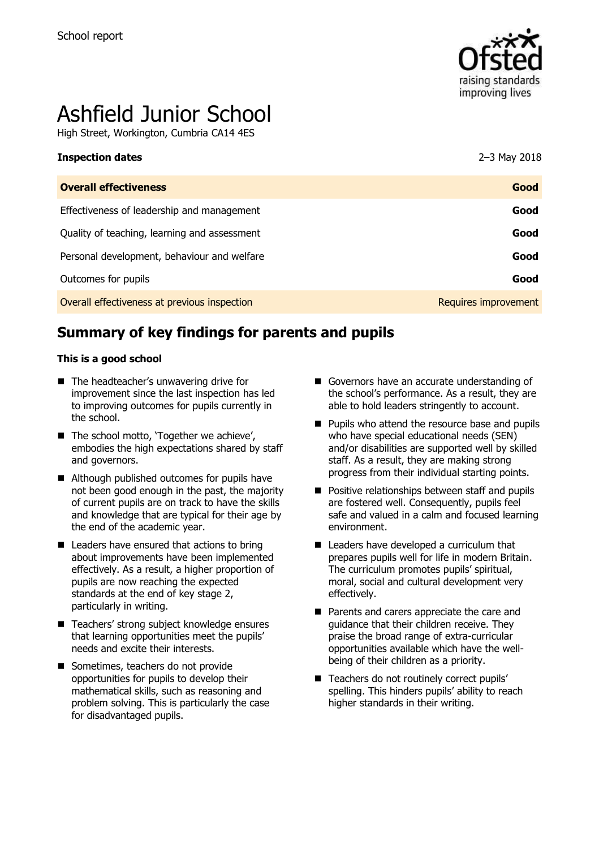

# Ashfield Junior School

High Street, Workington, Cumbria CA14 4ES

| <b>Overall effectiveness</b>                 | Good                 |
|----------------------------------------------|----------------------|
| Effectiveness of leadership and management   | Good                 |
| Quality of teaching, learning and assessment | Good                 |
| Personal development, behaviour and welfare  | Good                 |
| Outcomes for pupils                          | Good                 |
| Overall effectiveness at previous inspection | Requires improvement |

# **Summary of key findings for parents and pupils**

#### **This is a good school**

- The headteacher's unwavering drive for improvement since the last inspection has led to improving outcomes for pupils currently in the school.
- The school motto, 'Together we achieve', embodies the high expectations shared by staff and governors.
- Although published outcomes for pupils have not been good enough in the past, the majority of current pupils are on track to have the skills and knowledge that are typical for their age by the end of the academic year.
- $\blacksquare$  Leaders have ensured that actions to bring about improvements have been implemented effectively. As a result, a higher proportion of pupils are now reaching the expected standards at the end of key stage 2, particularly in writing.
- Teachers' strong subject knowledge ensures that learning opportunities meet the pupils' needs and excite their interests.
- Sometimes, teachers do not provide opportunities for pupils to develop their mathematical skills, such as reasoning and problem solving. This is particularly the case for disadvantaged pupils.
- Governors have an accurate understanding of the school's performance. As a result, they are able to hold leaders stringently to account.
- **Pupils who attend the resource base and pupils** who have special educational needs (SEN) and/or disabilities are supported well by skilled staff. As a result, they are making strong progress from their individual starting points.
- **Positive relationships between staff and pupils** are fostered well. Consequently, pupils feel safe and valued in a calm and focused learning environment.
- Leaders have developed a curriculum that prepares pupils well for life in modern Britain. The curriculum promotes pupils' spiritual, moral, social and cultural development very effectively.
- **Parents and carers appreciate the care and** guidance that their children receive. They praise the broad range of extra-curricular opportunities available which have the wellbeing of their children as a priority.
- Teachers do not routinely correct pupils' spelling. This hinders pupils' ability to reach higher standards in their writing.

**Inspection dates** 2–3 May 2018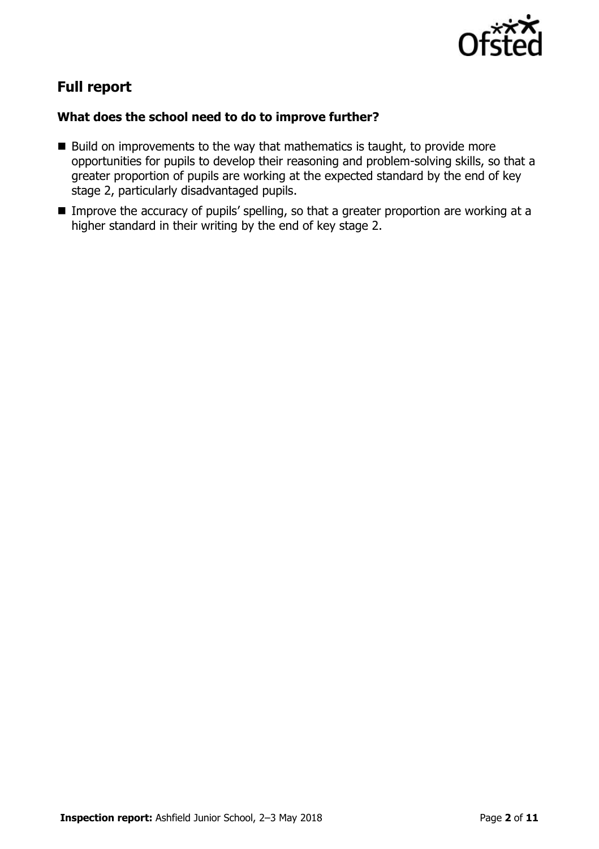

# **Full report**

# **What does the school need to do to improve further?**

- $\blacksquare$  Build on improvements to the way that mathematics is taught, to provide more opportunities for pupils to develop their reasoning and problem-solving skills, so that a greater proportion of pupils are working at the expected standard by the end of key stage 2, particularly disadvantaged pupils.
- Improve the accuracy of pupils' spelling, so that a greater proportion are working at a higher standard in their writing by the end of key stage 2.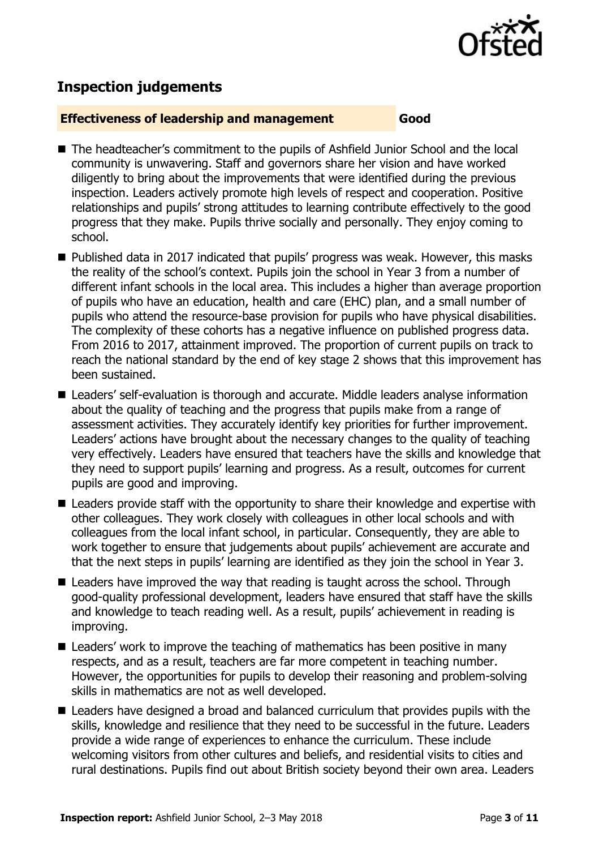

# **Inspection judgements**

#### **Effectiveness of leadership and management Good**

- The headteacher's commitment to the pupils of Ashfield Junior School and the local community is unwavering. Staff and governors share her vision and have worked diligently to bring about the improvements that were identified during the previous inspection. Leaders actively promote high levels of respect and cooperation. Positive relationships and pupils' strong attitudes to learning contribute effectively to the good progress that they make. Pupils thrive socially and personally. They enjoy coming to school.
- Published data in 2017 indicated that pupils' progress was weak. However, this masks the reality of the school's context. Pupils join the school in Year 3 from a number of different infant schools in the local area. This includes a higher than average proportion of pupils who have an education, health and care (EHC) plan, and a small number of pupils who attend the resource-base provision for pupils who have physical disabilities. The complexity of these cohorts has a negative influence on published progress data. From 2016 to 2017, attainment improved. The proportion of current pupils on track to reach the national standard by the end of key stage 2 shows that this improvement has been sustained.
- Leaders' self-evaluation is thorough and accurate. Middle leaders analyse information about the quality of teaching and the progress that pupils make from a range of assessment activities. They accurately identify key priorities for further improvement. Leaders' actions have brought about the necessary changes to the quality of teaching very effectively. Leaders have ensured that teachers have the skills and knowledge that they need to support pupils' learning and progress. As a result, outcomes for current pupils are good and improving.
- Leaders provide staff with the opportunity to share their knowledge and expertise with other colleagues. They work closely with colleagues in other local schools and with colleagues from the local infant school, in particular. Consequently, they are able to work together to ensure that judgements about pupils' achievement are accurate and that the next steps in pupils' learning are identified as they join the school in Year 3.
- Leaders have improved the way that reading is taught across the school. Through good-quality professional development, leaders have ensured that staff have the skills and knowledge to teach reading well. As a result, pupils' achievement in reading is improving.
- Leaders' work to improve the teaching of mathematics has been positive in many respects, and as a result, teachers are far more competent in teaching number. However, the opportunities for pupils to develop their reasoning and problem-solving skills in mathematics are not as well developed.
- Leaders have designed a broad and balanced curriculum that provides pupils with the skills, knowledge and resilience that they need to be successful in the future. Leaders provide a wide range of experiences to enhance the curriculum. These include welcoming visitors from other cultures and beliefs, and residential visits to cities and rural destinations. Pupils find out about British society beyond their own area. Leaders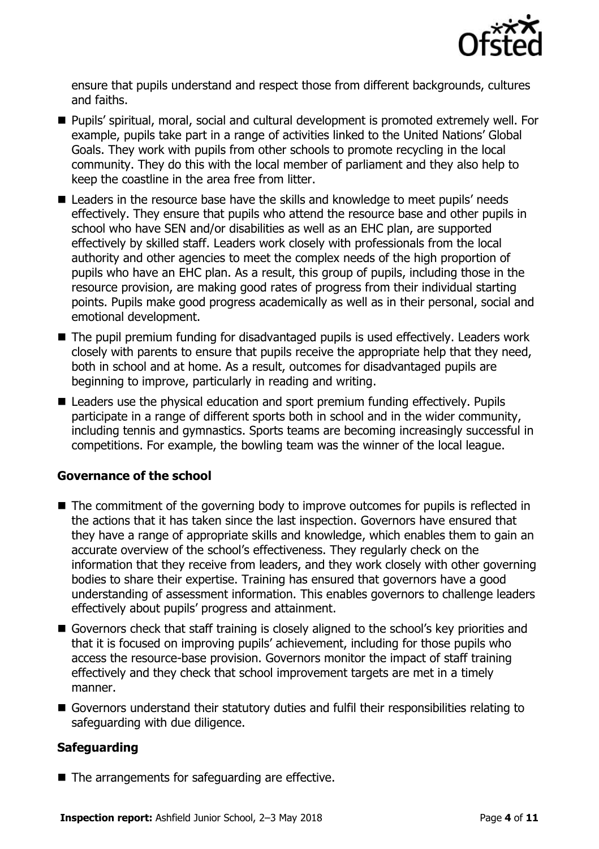

ensure that pupils understand and respect those from different backgrounds, cultures and faiths.

- Pupils' spiritual, moral, social and cultural development is promoted extremely well. For example, pupils take part in a range of activities linked to the United Nations' Global Goals. They work with pupils from other schools to promote recycling in the local community. They do this with the local member of parliament and they also help to keep the coastline in the area free from litter.
- Leaders in the resource base have the skills and knowledge to meet pupils' needs effectively. They ensure that pupils who attend the resource base and other pupils in school who have SEN and/or disabilities as well as an EHC plan, are supported effectively by skilled staff. Leaders work closely with professionals from the local authority and other agencies to meet the complex needs of the high proportion of pupils who have an EHC plan. As a result, this group of pupils, including those in the resource provision, are making good rates of progress from their individual starting points. Pupils make good progress academically as well as in their personal, social and emotional development.
- The pupil premium funding for disadvantaged pupils is used effectively. Leaders work closely with parents to ensure that pupils receive the appropriate help that they need, both in school and at home. As a result, outcomes for disadvantaged pupils are beginning to improve, particularly in reading and writing.
- Leaders use the physical education and sport premium funding effectively. Pupils participate in a range of different sports both in school and in the wider community, including tennis and gymnastics. Sports teams are becoming increasingly successful in competitions. For example, the bowling team was the winner of the local league.

# **Governance of the school**

- The commitment of the governing body to improve outcomes for pupils is reflected in the actions that it has taken since the last inspection. Governors have ensured that they have a range of appropriate skills and knowledge, which enables them to gain an accurate overview of the school's effectiveness. They regularly check on the information that they receive from leaders, and they work closely with other governing bodies to share their expertise. Training has ensured that governors have a good understanding of assessment information. This enables governors to challenge leaders effectively about pupils' progress and attainment.
- Governors check that staff training is closely aligned to the school's key priorities and that it is focused on improving pupils' achievement, including for those pupils who access the resource-base provision. Governors monitor the impact of staff training effectively and they check that school improvement targets are met in a timely manner.
- Governors understand their statutory duties and fulfil their responsibilities relating to safeguarding with due diligence.

# **Safeguarding**

■ The arrangements for safeguarding are effective.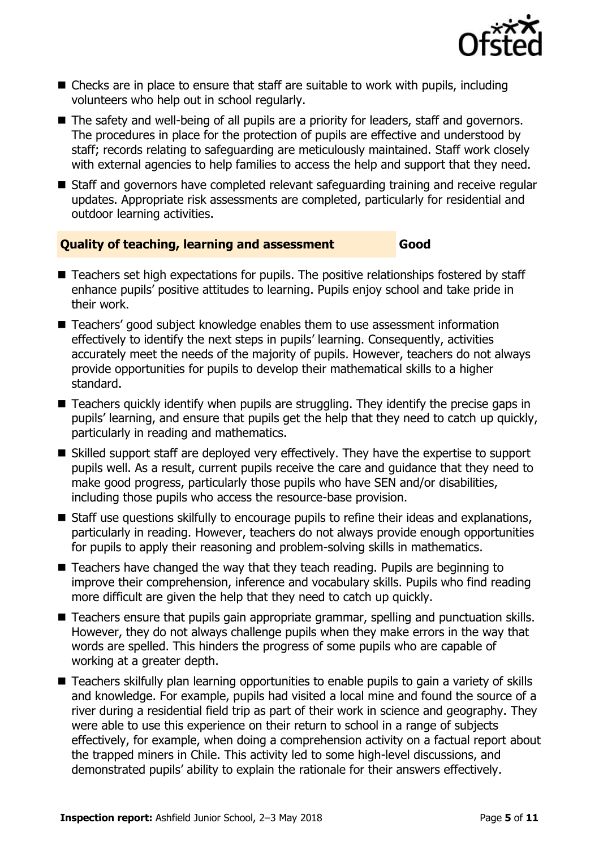

- Checks are in place to ensure that staff are suitable to work with pupils, including volunteers who help out in school regularly.
- The safety and well-being of all pupils are a priority for leaders, staff and governors. The procedures in place for the protection of pupils are effective and understood by staff; records relating to safeguarding are meticulously maintained. Staff work closely with external agencies to help families to access the help and support that they need.
- Staff and governors have completed relevant safeguarding training and receive regular updates. Appropriate risk assessments are completed, particularly for residential and outdoor learning activities.

#### **Quality of teaching, learning and assessment Good**

- Teachers set high expectations for pupils. The positive relationships fostered by staff enhance pupils' positive attitudes to learning. Pupils enjoy school and take pride in their work.
- Teachers' good subject knowledge enables them to use assessment information effectively to identify the next steps in pupils' learning. Consequently, activities accurately meet the needs of the majority of pupils. However, teachers do not always provide opportunities for pupils to develop their mathematical skills to a higher standard.
- Teachers quickly identify when pupils are struggling. They identify the precise gaps in pupils' learning, and ensure that pupils get the help that they need to catch up quickly, particularly in reading and mathematics.
- Skilled support staff are deployed very effectively. They have the expertise to support pupils well. As a result, current pupils receive the care and guidance that they need to make good progress, particularly those pupils who have SEN and/or disabilities, including those pupils who access the resource-base provision.
- Staff use questions skilfully to encourage pupils to refine their ideas and explanations. particularly in reading. However, teachers do not always provide enough opportunities for pupils to apply their reasoning and problem-solving skills in mathematics.
- Teachers have changed the way that they teach reading. Pupils are beginning to improve their comprehension, inference and vocabulary skills. Pupils who find reading more difficult are given the help that they need to catch up quickly.
- Teachers ensure that pupils gain appropriate grammar, spelling and punctuation skills. However, they do not always challenge pupils when they make errors in the way that words are spelled. This hinders the progress of some pupils who are capable of working at a greater depth.
- Teachers skilfully plan learning opportunities to enable pupils to gain a variety of skills and knowledge. For example, pupils had visited a local mine and found the source of a river during a residential field trip as part of their work in science and geography. They were able to use this experience on their return to school in a range of subjects effectively, for example, when doing a comprehension activity on a factual report about the trapped miners in Chile. This activity led to some high-level discussions, and demonstrated pupils' ability to explain the rationale for their answers effectively.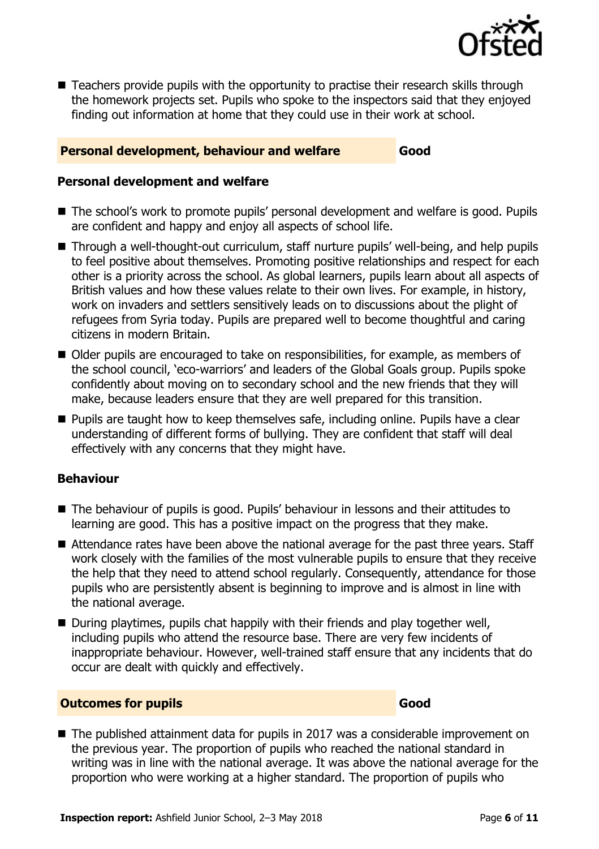

■ Teachers provide pupils with the opportunity to practise their research skills through the homework projects set. Pupils who spoke to the inspectors said that they enjoyed finding out information at home that they could use in their work at school.

## **Personal development, behaviour and welfare Good**

## **Personal development and welfare**

- The school's work to promote pupils' personal development and welfare is good. Pupils are confident and happy and enjoy all aspects of school life.
- Through a well-thought-out curriculum, staff nurture pupils' well-being, and help pupils to feel positive about themselves. Promoting positive relationships and respect for each other is a priority across the school. As global learners, pupils learn about all aspects of British values and how these values relate to their own lives. For example, in history, work on invaders and settlers sensitively leads on to discussions about the plight of refugees from Syria today. Pupils are prepared well to become thoughtful and caring citizens in modern Britain.
- Older pupils are encouraged to take on responsibilities, for example, as members of the school council, 'eco-warriors' and leaders of the Global Goals group. Pupils spoke confidently about moving on to secondary school and the new friends that they will make, because leaders ensure that they are well prepared for this transition.
- **Pupils are taught how to keep themselves safe, including online. Pupils have a clear** understanding of different forms of bullying. They are confident that staff will deal effectively with any concerns that they might have.

# **Behaviour**

- The behaviour of pupils is good. Pupils' behaviour in lessons and their attitudes to learning are good. This has a positive impact on the progress that they make.
- Attendance rates have been above the national average for the past three years. Staff work closely with the families of the most vulnerable pupils to ensure that they receive the help that they need to attend school regularly. Consequently, attendance for those pupils who are persistently absent is beginning to improve and is almost in line with the national average.
- **D** During playtimes, pupils chat happily with their friends and play together well, including pupils who attend the resource base. There are very few incidents of inappropriate behaviour. However, well-trained staff ensure that any incidents that do occur are dealt with quickly and effectively.

# **Outcomes for pupils Good**

■ The published attainment data for pupils in 2017 was a considerable improvement on the previous year. The proportion of pupils who reached the national standard in writing was in line with the national average. It was above the national average for the proportion who were working at a higher standard. The proportion of pupils who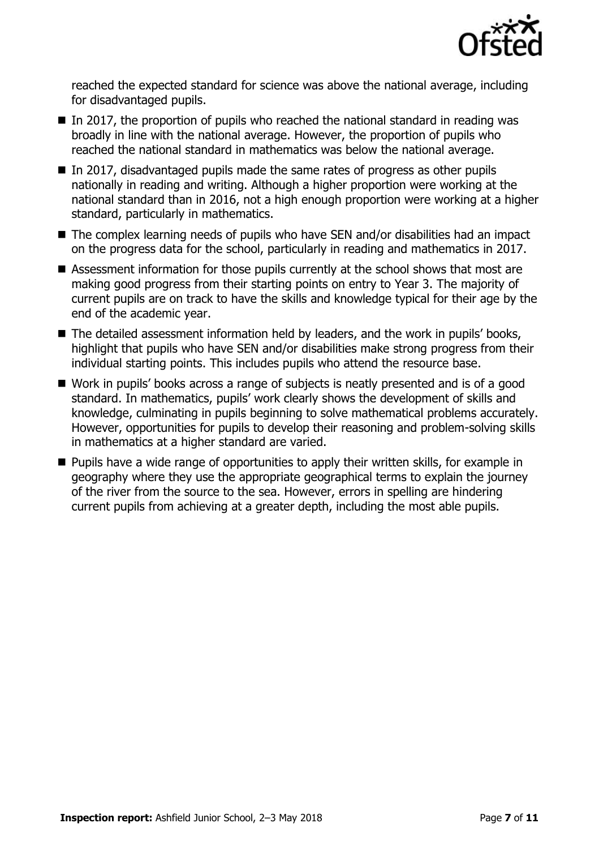

reached the expected standard for science was above the national average, including for disadvantaged pupils.

- $\blacksquare$  In 2017, the proportion of pupils who reached the national standard in reading was broadly in line with the national average. However, the proportion of pupils who reached the national standard in mathematics was below the national average.
- In 2017, disadvantaged pupils made the same rates of progress as other pupils nationally in reading and writing. Although a higher proportion were working at the national standard than in 2016, not a high enough proportion were working at a higher standard, particularly in mathematics.
- The complex learning needs of pupils who have SEN and/or disabilities had an impact on the progress data for the school, particularly in reading and mathematics in 2017.
- Assessment information for those pupils currently at the school shows that most are making good progress from their starting points on entry to Year 3. The majority of current pupils are on track to have the skills and knowledge typical for their age by the end of the academic year.
- The detailed assessment information held by leaders, and the work in pupils' books, highlight that pupils who have SEN and/or disabilities make strong progress from their individual starting points. This includes pupils who attend the resource base.
- Work in pupils' books across a range of subjects is neatly presented and is of a good standard. In mathematics, pupils' work clearly shows the development of skills and knowledge, culminating in pupils beginning to solve mathematical problems accurately. However, opportunities for pupils to develop their reasoning and problem-solving skills in mathematics at a higher standard are varied.
- **Pupils have a wide range of opportunities to apply their written skills, for example in** geography where they use the appropriate geographical terms to explain the journey of the river from the source to the sea. However, errors in spelling are hindering current pupils from achieving at a greater depth, including the most able pupils.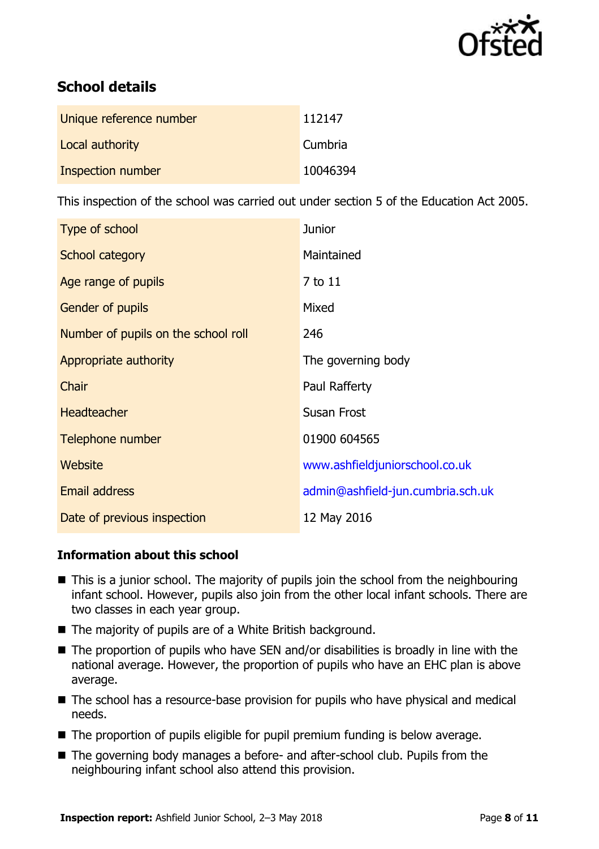

# **School details**

| Unique reference number | 112147   |
|-------------------------|----------|
| Local authority         | Cumbria  |
| Inspection number       | 10046394 |

This inspection of the school was carried out under section 5 of the Education Act 2005.

| Type of school                      | <b>Junior</b>                     |
|-------------------------------------|-----------------------------------|
| School category                     | Maintained                        |
| Age range of pupils                 | 7 to 11                           |
| <b>Gender of pupils</b>             | Mixed                             |
| Number of pupils on the school roll | 246                               |
| Appropriate authority               | The governing body                |
| Chair                               | Paul Rafferty                     |
| <b>Headteacher</b>                  | <b>Susan Frost</b>                |
| Telephone number                    | 01900 604565                      |
| Website                             | www.ashfieldjuniorschool.co.uk    |
| <b>Email address</b>                | admin@ashfield-jun.cumbria.sch.uk |
| Date of previous inspection         | 12 May 2016                       |

# **Information about this school**

- This is a junior school. The majority of pupils join the school from the neighbouring infant school. However, pupils also join from the other local infant schools. There are two classes in each year group.
- The majority of pupils are of a White British background.
- $\blacksquare$  The proportion of pupils who have SEN and/or disabilities is broadly in line with the national average. However, the proportion of pupils who have an EHC plan is above average.
- The school has a resource-base provision for pupils who have physical and medical needs.
- The proportion of pupils eligible for pupil premium funding is below average.
- The governing body manages a before- and after-school club. Pupils from the neighbouring infant school also attend this provision.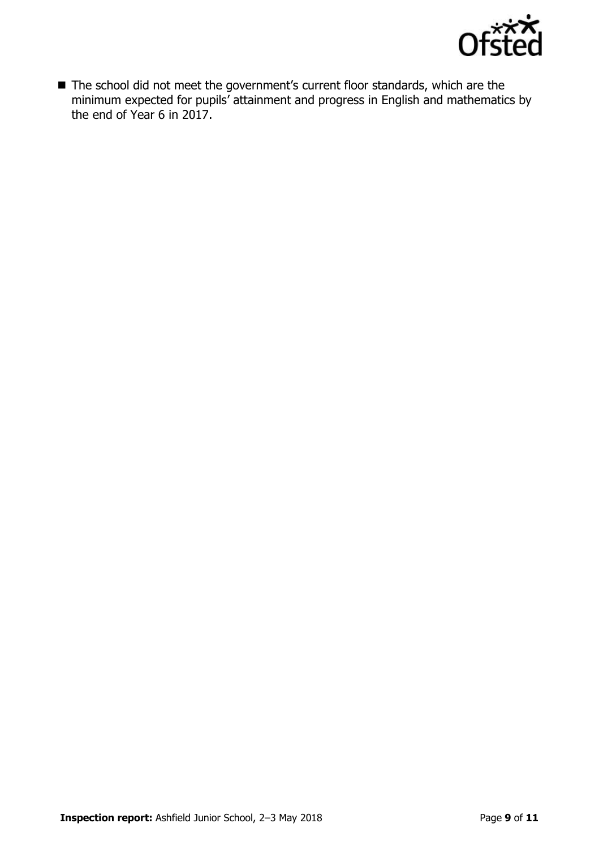

■ The school did not meet the government's current floor standards, which are the minimum expected for pupils' attainment and progress in English and mathematics by the end of Year 6 in 2017.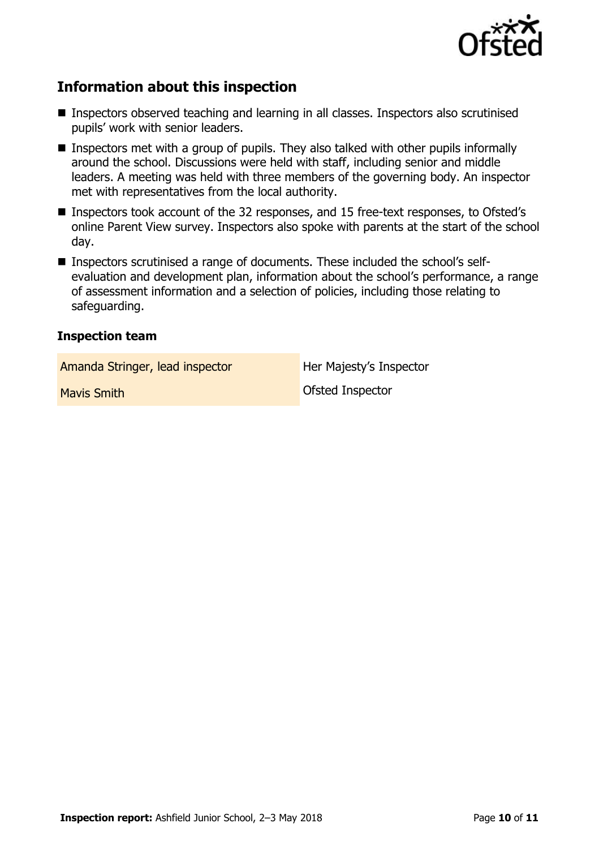

# **Information about this inspection**

- Inspectors observed teaching and learning in all classes. Inspectors also scrutinised pupils' work with senior leaders.
- Inspectors met with a group of pupils. They also talked with other pupils informally around the school. Discussions were held with staff, including senior and middle leaders. A meeting was held with three members of the governing body. An inspector met with representatives from the local authority.
- Inspectors took account of the 32 responses, and 15 free-text responses, to Ofsted's online Parent View survey. Inspectors also spoke with parents at the start of the school day.
- Inspectors scrutinised a range of documents. These included the school's selfevaluation and development plan, information about the school's performance, a range of assessment information and a selection of policies, including those relating to safeguarding.

#### **Inspection team**

Amanda Stringer, lead inspector **Her Majesty's Inspector** 

**Mavis Smith Mavis Smith Contact Contact Inspector**